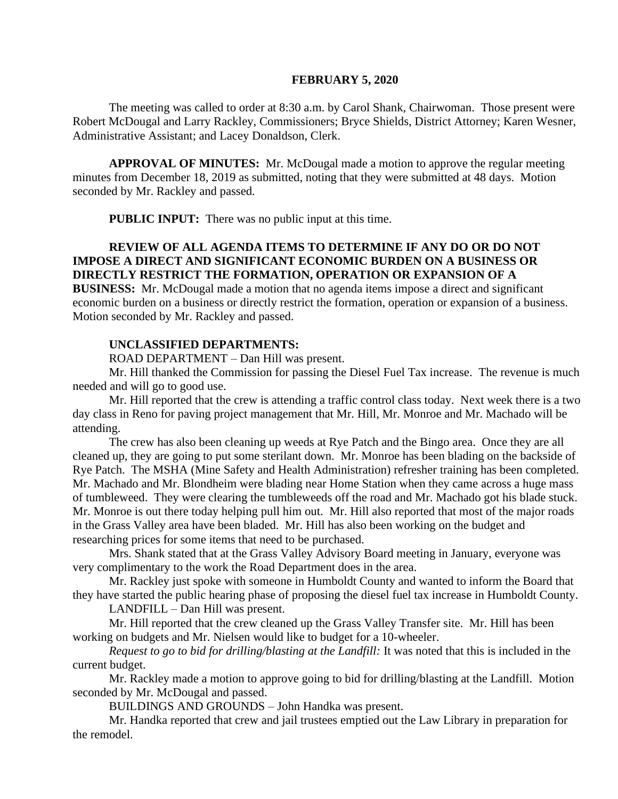#### **FEBRUARY 5, 2020**

The meeting was called to order at 8:30 a.m. by Carol Shank, Chairwoman. Those present were Robert McDougal and Larry Rackley, Commissioners; Bryce Shields, District Attorney; Karen Wesner, Administrative Assistant; and Lacey Donaldson, Clerk.

**APPROVAL OF MINUTES:** Mr. McDougal made a motion to approve the regular meeting minutes from December 18, 2019 as submitted, noting that they were submitted at 48 days. Motion seconded by Mr. Rackley and passed.

 **PUBLIC INPUT:** There was no public input at this time.

# **REVIEW OF ALL AGENDA ITEMS TO DETERMINE IF ANY DO OR DO NOT IMPOSE A DIRECT AND SIGNIFICANT ECONOMIC BURDEN ON A BUSINESS OR DIRECTLY RESTRICT THE FORMATION, OPERATION OR EXPANSION OF A**

**BUSINESS:** Mr. McDougal made a motion that no agenda items impose a direct and significant economic burden on a business or directly restrict the formation, operation or expansion of a business. Motion seconded by Mr. Rackley and passed.

#### **UNCLASSIFIED DEPARTMENTS:**

ROAD DEPARTMENT – Dan Hill was present.

Mr. Hill thanked the Commission for passing the Diesel Fuel Tax increase. The revenue is much needed and will go to good use.

Mr. Hill reported that the crew is attending a traffic control class today. Next week there is a two day class in Reno for paving project management that Mr. Hill, Mr. Monroe and Mr. Machado will be attending.

The crew has also been cleaning up weeds at Rye Patch and the Bingo area. Once they are all cleaned up, they are going to put some sterilant down. Mr. Monroe has been blading on the backside of Rye Patch. The MSHA (Mine Safety and Health Administration) refresher training has been completed. Mr. Machado and Mr. Blondheim were blading near Home Station when they came across a huge mass of tumbleweed. They were clearing the tumbleweeds off the road and Mr. Machado got his blade stuck. Mr. Monroe is out there today helping pull him out. Mr. Hill also reported that most of the major roads in the Grass Valley area have been bladed. Mr. Hill has also been working on the budget and researching prices for some items that need to be purchased.

Mrs. Shank stated that at the Grass Valley Advisory Board meeting in January, everyone was very complimentary to the work the Road Department does in the area.

Mr. Rackley just spoke with someone in Humboldt County and wanted to inform the Board that they have started the public hearing phase of proposing the diesel fuel tax increase in Humboldt County.

LANDFILL – Dan Hill was present.

Mr. Hill reported that the crew cleaned up the Grass Valley Transfer site. Mr. Hill has been working on budgets and Mr. Nielsen would like to budget for a 10-wheeler.

*Request to go to bid for drilling/blasting at the Landfill:* It was noted that this is included in the current budget.

Mr. Rackley made a motion to approve going to bid for drilling/blasting at the Landfill. Motion seconded by Mr. McDougal and passed.

BUILDINGS AND GROUNDS – John Handka was present.

Mr. Handka reported that crew and jail trustees emptied out the Law Library in preparation for the remodel.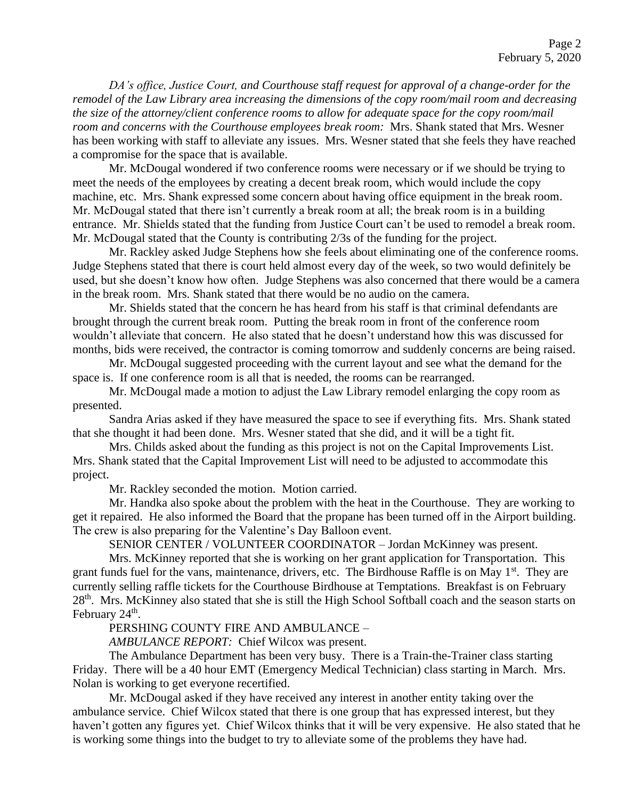*DA's office, Justice Court, and Courthouse staff request for approval of a change-order for the remodel of the Law Library area increasing the dimensions of the copy room/mail room and decreasing the size of the attorney/client conference rooms to allow for adequate space for the copy room/mail room and concerns with the Courthouse employees break room:* Mrs. Shank stated that Mrs. Wesner has been working with staff to alleviate any issues. Mrs. Wesner stated that she feels they have reached a compromise for the space that is available.

Mr. McDougal wondered if two conference rooms were necessary or if we should be trying to meet the needs of the employees by creating a decent break room, which would include the copy machine, etc. Mrs. Shank expressed some concern about having office equipment in the break room. Mr. McDougal stated that there isn't currently a break room at all; the break room is in a building entrance. Mr. Shields stated that the funding from Justice Court can't be used to remodel a break room. Mr. McDougal stated that the County is contributing 2/3s of the funding for the project.

Mr. Rackley asked Judge Stephens how she feels about eliminating one of the conference rooms. Judge Stephens stated that there is court held almost every day of the week, so two would definitely be used, but she doesn't know how often. Judge Stephens was also concerned that there would be a camera in the break room. Mrs. Shank stated that there would be no audio on the camera.

Mr. Shields stated that the concern he has heard from his staff is that criminal defendants are brought through the current break room. Putting the break room in front of the conference room wouldn't alleviate that concern. He also stated that he doesn't understand how this was discussed for months, bids were received, the contractor is coming tomorrow and suddenly concerns are being raised.

Mr. McDougal suggested proceeding with the current layout and see what the demand for the space is. If one conference room is all that is needed, the rooms can be rearranged.

Mr. McDougal made a motion to adjust the Law Library remodel enlarging the copy room as presented.

Sandra Arias asked if they have measured the space to see if everything fits. Mrs. Shank stated that she thought it had been done. Mrs. Wesner stated that she did, and it will be a tight fit.

Mrs. Childs asked about the funding as this project is not on the Capital Improvements List. Mrs. Shank stated that the Capital Improvement List will need to be adjusted to accommodate this project.

Mr. Rackley seconded the motion. Motion carried.

Mr. Handka also spoke about the problem with the heat in the Courthouse. They are working to get it repaired. He also informed the Board that the propane has been turned off in the Airport building. The crew is also preparing for the Valentine's Day Balloon event.

SENIOR CENTER / VOLUNTEER COORDINATOR – Jordan McKinney was present.

Mrs. McKinney reported that she is working on her grant application for Transportation. This grant funds fuel for the vans, maintenance, drivers, etc. The Birdhouse Raffle is on May 1<sup>st</sup>. They are currently selling raffle tickets for the Courthouse Birdhouse at Temptations. Breakfast is on February 28<sup>th</sup>. Mrs. McKinney also stated that she is still the High School Softball coach and the season starts on February 24<sup>th</sup>.

PERSHING COUNTY FIRE AND AMBULANCE –

*AMBULANCE REPORT:* Chief Wilcox was present.

The Ambulance Department has been very busy. There is a Train-the-Trainer class starting Friday. There will be a 40 hour EMT (Emergency Medical Technician) class starting in March. Mrs. Nolan is working to get everyone recertified.

Mr. McDougal asked if they have received any interest in another entity taking over the ambulance service. Chief Wilcox stated that there is one group that has expressed interest, but they haven't gotten any figures yet. Chief Wilcox thinks that it will be very expensive. He also stated that he is working some things into the budget to try to alleviate some of the problems they have had.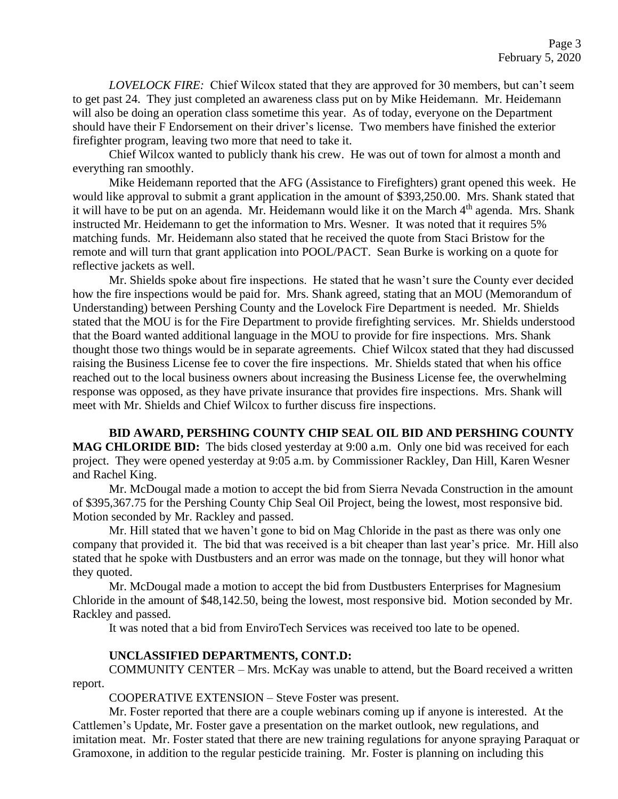*LOVELOCK FIRE:* Chief Wilcox stated that they are approved for 30 members, but can't seem to get past 24. They just completed an awareness class put on by Mike Heidemann. Mr. Heidemann will also be doing an operation class sometime this year. As of today, everyone on the Department should have their F Endorsement on their driver's license. Two members have finished the exterior firefighter program, leaving two more that need to take it.

Chief Wilcox wanted to publicly thank his crew. He was out of town for almost a month and everything ran smoothly.

Mike Heidemann reported that the AFG (Assistance to Firefighters) grant opened this week. He would like approval to submit a grant application in the amount of \$393,250.00. Mrs. Shank stated that it will have to be put on an agenda. Mr. Heidemann would like it on the March 4<sup>th</sup> agenda. Mrs. Shank instructed Mr. Heidemann to get the information to Mrs. Wesner. It was noted that it requires 5% matching funds. Mr. Heidemann also stated that he received the quote from Staci Bristow for the remote and will turn that grant application into POOL/PACT. Sean Burke is working on a quote for reflective jackets as well.

Mr. Shields spoke about fire inspections. He stated that he wasn't sure the County ever decided how the fire inspections would be paid for. Mrs. Shank agreed, stating that an MOU (Memorandum of Understanding) between Pershing County and the Lovelock Fire Department is needed. Mr. Shields stated that the MOU is for the Fire Department to provide firefighting services. Mr. Shields understood that the Board wanted additional language in the MOU to provide for fire inspections. Mrs. Shank thought those two things would be in separate agreements. Chief Wilcox stated that they had discussed raising the Business License fee to cover the fire inspections. Mr. Shields stated that when his office reached out to the local business owners about increasing the Business License fee, the overwhelming response was opposed, as they have private insurance that provides fire inspections. Mrs. Shank will meet with Mr. Shields and Chief Wilcox to further discuss fire inspections.

**BID AWARD, PERSHING COUNTY CHIP SEAL OIL BID AND PERSHING COUNTY MAG CHLORIDE BID:** The bids closed yesterday at 9:00 a.m. Only one bid was received for each project. They were opened yesterday at 9:05 a.m. by Commissioner Rackley, Dan Hill, Karen Wesner and Rachel King.

Mr. McDougal made a motion to accept the bid from Sierra Nevada Construction in the amount of \$395,367.75 for the Pershing County Chip Seal Oil Project, being the lowest, most responsive bid. Motion seconded by Mr. Rackley and passed.

Mr. Hill stated that we haven't gone to bid on Mag Chloride in the past as there was only one company that provided it. The bid that was received is a bit cheaper than last year's price. Mr. Hill also stated that he spoke with Dustbusters and an error was made on the tonnage, but they will honor what they quoted.

Mr. McDougal made a motion to accept the bid from Dustbusters Enterprises for Magnesium Chloride in the amount of \$48,142.50, being the lowest, most responsive bid. Motion seconded by Mr. Rackley and passed.

It was noted that a bid from EnviroTech Services was received too late to be opened.

### **UNCLASSIFIED DEPARTMENTS, CONT.D:**

COMMUNITY CENTER – Mrs. McKay was unable to attend, but the Board received a written report.

COOPERATIVE EXTENSION – Steve Foster was present.

Mr. Foster reported that there are a couple webinars coming up if anyone is interested. At the Cattlemen's Update, Mr. Foster gave a presentation on the market outlook, new regulations, and imitation meat. Mr. Foster stated that there are new training regulations for anyone spraying Paraquat or Gramoxone, in addition to the regular pesticide training. Mr. Foster is planning on including this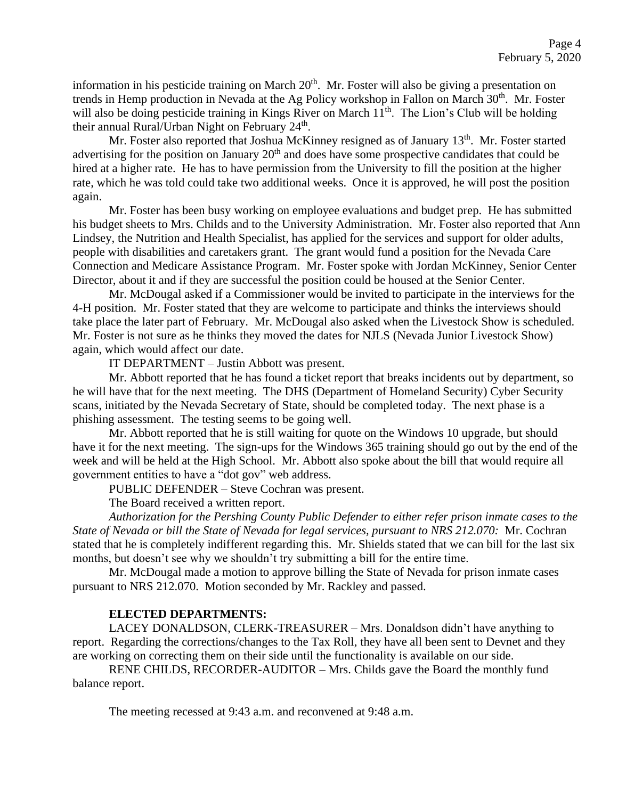information in his pesticide training on March 20<sup>th</sup>. Mr. Foster will also be giving a presentation on trends in Hemp production in Nevada at the Ag Policy workshop in Fallon on March 30<sup>th</sup>. Mr. Foster will also be doing pesticide training in Kings River on March  $11<sup>th</sup>$ . The Lion's Club will be holding their annual Rural/Urban Night on February  $24<sup>th</sup>$ .

Mr. Foster also reported that Joshua McKinney resigned as of January 13<sup>th</sup>. Mr. Foster started advertising for the position on January 20<sup>th</sup> and does have some prospective candidates that could be hired at a higher rate. He has to have permission from the University to fill the position at the higher rate, which he was told could take two additional weeks. Once it is approved, he will post the position again.

Mr. Foster has been busy working on employee evaluations and budget prep. He has submitted his budget sheets to Mrs. Childs and to the University Administration. Mr. Foster also reported that Ann Lindsey, the Nutrition and Health Specialist, has applied for the services and support for older adults, people with disabilities and caretakers grant. The grant would fund a position for the Nevada Care Connection and Medicare Assistance Program. Mr. Foster spoke with Jordan McKinney, Senior Center Director, about it and if they are successful the position could be housed at the Senior Center.

Mr. McDougal asked if a Commissioner would be invited to participate in the interviews for the 4-H position. Mr. Foster stated that they are welcome to participate and thinks the interviews should take place the later part of February. Mr. McDougal also asked when the Livestock Show is scheduled. Mr. Foster is not sure as he thinks they moved the dates for NJLS (Nevada Junior Livestock Show) again, which would affect our date.

IT DEPARTMENT – Justin Abbott was present.

Mr. Abbott reported that he has found a ticket report that breaks incidents out by department, so he will have that for the next meeting. The DHS (Department of Homeland Security) Cyber Security scans, initiated by the Nevada Secretary of State, should be completed today. The next phase is a phishing assessment. The testing seems to be going well.

Mr. Abbott reported that he is still waiting for quote on the Windows 10 upgrade, but should have it for the next meeting. The sign-ups for the Windows 365 training should go out by the end of the week and will be held at the High School. Mr. Abbott also spoke about the bill that would require all government entities to have a "dot gov" web address.

PUBLIC DEFENDER – Steve Cochran was present.

The Board received a written report.

*Authorization for the Pershing County Public Defender to either refer prison inmate cases to the State of Nevada or bill the State of Nevada for legal services, pursuant to NRS 212.070:* Mr. Cochran stated that he is completely indifferent regarding this. Mr. Shields stated that we can bill for the last six months, but doesn't see why we shouldn't try submitting a bill for the entire time.

Mr. McDougal made a motion to approve billing the State of Nevada for prison inmate cases pursuant to NRS 212.070. Motion seconded by Mr. Rackley and passed.

### **ELECTED DEPARTMENTS:**

LACEY DONALDSON, CLERK-TREASURER – Mrs. Donaldson didn't have anything to report. Regarding the corrections/changes to the Tax Roll, they have all been sent to Devnet and they are working on correcting them on their side until the functionality is available on our side.

RENE CHILDS, RECORDER-AUDITOR – Mrs. Childs gave the Board the monthly fund balance report.

The meeting recessed at 9:43 a.m. and reconvened at 9:48 a.m.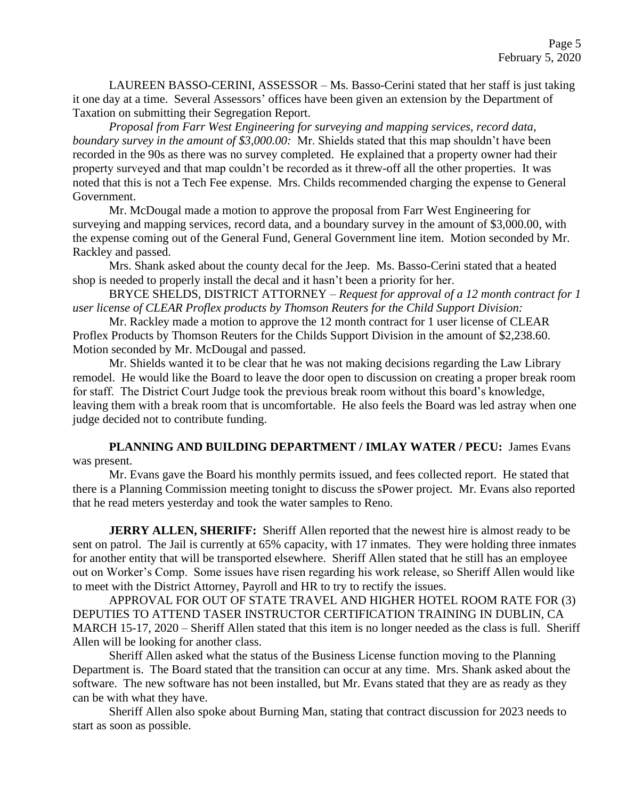LAUREEN BASSO-CERINI, ASSESSOR – Ms. Basso-Cerini stated that her staff is just taking it one day at a time. Several Assessors' offices have been given an extension by the Department of Taxation on submitting their Segregation Report.

*Proposal from Farr West Engineering for surveying and mapping services, record data, boundary survey in the amount of \$3,000.00:* Mr. Shields stated that this map shouldn't have been recorded in the 90s as there was no survey completed. He explained that a property owner had their property surveyed and that map couldn't be recorded as it threw-off all the other properties. It was noted that this is not a Tech Fee expense. Mrs. Childs recommended charging the expense to General Government.

Mr. McDougal made a motion to approve the proposal from Farr West Engineering for surveying and mapping services, record data, and a boundary survey in the amount of \$3,000.00, with the expense coming out of the General Fund, General Government line item. Motion seconded by Mr. Rackley and passed.

Mrs. Shank asked about the county decal for the Jeep. Ms. Basso-Cerini stated that a heated shop is needed to properly install the decal and it hasn't been a priority for her.

BRYCE SHELDS, DISTRICT ATTORNEY – *Request for approval of a 12 month contract for 1 user license of CLEAR Proflex products by Thomson Reuters for the Child Support Division:*

Mr. Rackley made a motion to approve the 12 month contract for 1 user license of CLEAR Proflex Products by Thomson Reuters for the Childs Support Division in the amount of \$2,238.60. Motion seconded by Mr. McDougal and passed.

Mr. Shields wanted it to be clear that he was not making decisions regarding the Law Library remodel. He would like the Board to leave the door open to discussion on creating a proper break room for staff. The District Court Judge took the previous break room without this board's knowledge, leaving them with a break room that is uncomfortable. He also feels the Board was led astray when one judge decided not to contribute funding.

**PLANNING AND BUILDING DEPARTMENT / IMLAY WATER / PECU:** James Evans was present.

Mr. Evans gave the Board his monthly permits issued, and fees collected report. He stated that there is a Planning Commission meeting tonight to discuss the sPower project. Mr. Evans also reported that he read meters yesterday and took the water samples to Reno.

**JERRY ALLEN, SHERIFF:** Sheriff Allen reported that the newest hire is almost ready to be sent on patrol. The Jail is currently at 65% capacity, with 17 inmates. They were holding three inmates for another entity that will be transported elsewhere. Sheriff Allen stated that he still has an employee out on Worker's Comp. Some issues have risen regarding his work release, so Sheriff Allen would like to meet with the District Attorney, Payroll and HR to try to rectify the issues.

APPROVAL FOR OUT OF STATE TRAVEL AND HIGHER HOTEL ROOM RATE FOR (3) DEPUTIES TO ATTEND TASER INSTRUCTOR CERTIFICATION TRAINING IN DUBLIN, CA MARCH 15-17, 2020 – Sheriff Allen stated that this item is no longer needed as the class is full. Sheriff Allen will be looking for another class.

Sheriff Allen asked what the status of the Business License function moving to the Planning Department is. The Board stated that the transition can occur at any time. Mrs. Shank asked about the software. The new software has not been installed, but Mr. Evans stated that they are as ready as they can be with what they have.

Sheriff Allen also spoke about Burning Man, stating that contract discussion for 2023 needs to start as soon as possible.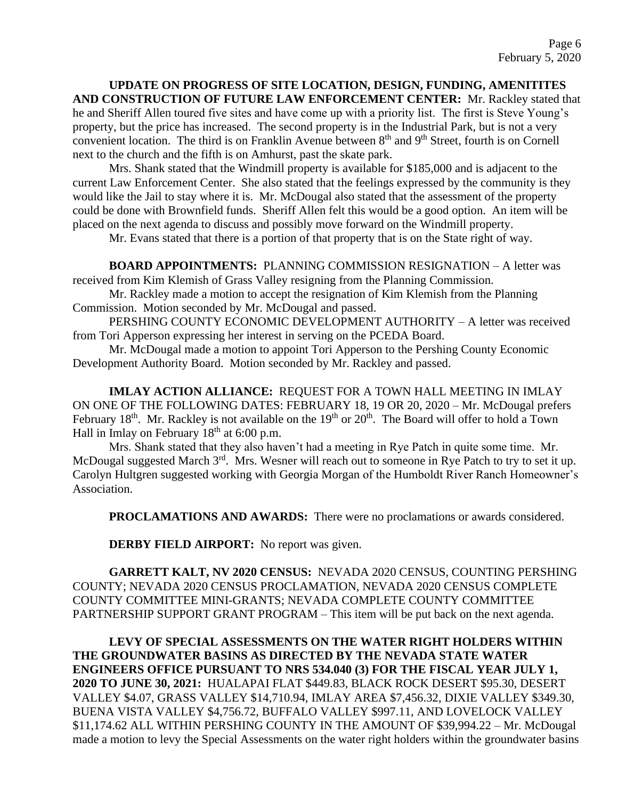**UPDATE ON PROGRESS OF SITE LOCATION, DESIGN, FUNDING, AMENITITES AND CONSTRUCTION OF FUTURE LAW ENFORCEMENT CENTER:** Mr. Rackley stated that he and Sheriff Allen toured five sites and have come up with a priority list. The first is Steve Young's property, but the price has increased. The second property is in the Industrial Park, but is not a very convenient location. The third is on Franklin Avenue between 8<sup>th</sup> and 9<sup>th</sup> Street, fourth is on Cornell next to the church and the fifth is on Amhurst, past the skate park.

Mrs. Shank stated that the Windmill property is available for \$185,000 and is adjacent to the current Law Enforcement Center. She also stated that the feelings expressed by the community is they would like the Jail to stay where it is. Mr. McDougal also stated that the assessment of the property could be done with Brownfield funds. Sheriff Allen felt this would be a good option. An item will be placed on the next agenda to discuss and possibly move forward on the Windmill property.

Mr. Evans stated that there is a portion of that property that is on the State right of way.

**BOARD APPOINTMENTS:** PLANNING COMMISSION RESIGNATION – A letter was received from Kim Klemish of Grass Valley resigning from the Planning Commission.

Mr. Rackley made a motion to accept the resignation of Kim Klemish from the Planning Commission. Motion seconded by Mr. McDougal and passed.

PERSHING COUNTY ECONOMIC DEVELOPMENT AUTHORITY – A letter was received from Tori Apperson expressing her interest in serving on the PCEDA Board.

Mr. McDougal made a motion to appoint Tori Apperson to the Pershing County Economic Development Authority Board. Motion seconded by Mr. Rackley and passed.

**IMLAY ACTION ALLIANCE:** REQUEST FOR A TOWN HALL MEETING IN IMLAY ON ONE OF THE FOLLOWING DATES: FEBRUARY 18, 19 OR 20, 2020 – Mr. McDougal prefers February 18<sup>th</sup>. Mr. Rackley is not available on the 19<sup>th</sup> or 20<sup>th</sup>. The Board will offer to hold a Town Hall in Imlay on February  $18<sup>th</sup>$  at 6:00 p.m.

Mrs. Shank stated that they also haven't had a meeting in Rye Patch in quite some time. Mr. McDougal suggested March 3<sup>rd</sup>. Mrs. Wesner will reach out to someone in Rye Patch to try to set it up. Carolyn Hultgren suggested working with Georgia Morgan of the Humboldt River Ranch Homeowner's Association.

**PROCLAMATIONS AND AWARDS:** There were no proclamations or awards considered.

**DERBY FIELD AIRPORT:** No report was given.

**GARRETT KALT, NV 2020 CENSUS:** NEVADA 2020 CENSUS, COUNTING PERSHING COUNTY; NEVADA 2020 CENSUS PROCLAMATION, NEVADA 2020 CENSUS COMPLETE COUNTY COMMITTEE MINI-GRANTS; NEVADA COMPLETE COUNTY COMMITTEE PARTNERSHIP SUPPORT GRANT PROGRAM – This item will be put back on the next agenda.

**LEVY OF SPECIAL ASSESSMENTS ON THE WATER RIGHT HOLDERS WITHIN THE GROUNDWATER BASINS AS DIRECTED BY THE NEVADA STATE WATER ENGINEERS OFFICE PURSUANT TO NRS 534.040 (3) FOR THE FISCAL YEAR JULY 1, 2020 TO JUNE 30, 2021:** HUALAPAI FLAT \$449.83, BLACK ROCK DESERT \$95.30, DESERT VALLEY \$4.07, GRASS VALLEY \$14,710.94, IMLAY AREA \$7,456.32, DIXIE VALLEY \$349.30, BUENA VISTA VALLEY \$4,756.72, BUFFALO VALLEY \$997.11, AND LOVELOCK VALLEY \$11,174.62 ALL WITHIN PERSHING COUNTY IN THE AMOUNT OF \$39,994.22 – Mr. McDougal made a motion to levy the Special Assessments on the water right holders within the groundwater basins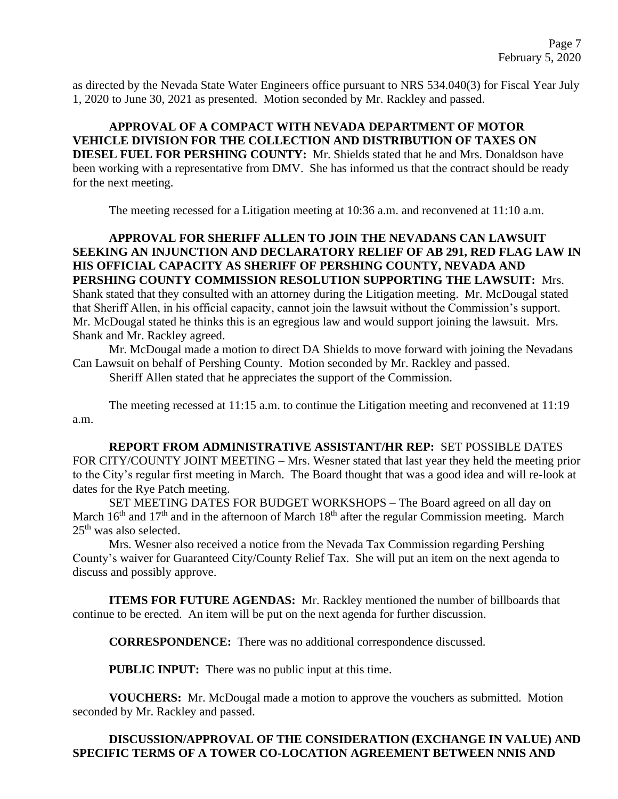as directed by the Nevada State Water Engineers office pursuant to NRS 534.040(3) for Fiscal Year July 1, 2020 to June 30, 2021 as presented. Motion seconded by Mr. Rackley and passed.

**APPROVAL OF A COMPACT WITH NEVADA DEPARTMENT OF MOTOR VEHICLE DIVISION FOR THE COLLECTION AND DISTRIBUTION OF TAXES ON DIESEL FUEL FOR PERSHING COUNTY:** Mr. Shields stated that he and Mrs. Donaldson have been working with a representative from DMV. She has informed us that the contract should be ready for the next meeting.

The meeting recessed for a Litigation meeting at 10:36 a.m. and reconvened at 11:10 a.m.

**APPROVAL FOR SHERIFF ALLEN TO JOIN THE NEVADANS CAN LAWSUIT SEEKING AN INJUNCTION AND DECLARATORY RELIEF OF AB 291, RED FLAG LAW IN HIS OFFICIAL CAPACITY AS SHERIFF OF PERSHING COUNTY, NEVADA AND PERSHING COUNTY COMMISSION RESOLUTION SUPPORTING THE LAWSUIT:** Mrs. Shank stated that they consulted with an attorney during the Litigation meeting. Mr. McDougal stated that Sheriff Allen, in his official capacity, cannot join the lawsuit without the Commission's support. Mr. McDougal stated he thinks this is an egregious law and would support joining the lawsuit. Mrs. Shank and Mr. Rackley agreed.

Mr. McDougal made a motion to direct DA Shields to move forward with joining the Nevadans Can Lawsuit on behalf of Pershing County. Motion seconded by Mr. Rackley and passed. Sheriff Allen stated that he appreciates the support of the Commission.

The meeting recessed at 11:15 a.m. to continue the Litigation meeting and reconvened at 11:19 a.m.

**REPORT FROM ADMINISTRATIVE ASSISTANT/HR REP:** SET POSSIBLE DATES FOR CITY/COUNTY JOINT MEETING – Mrs. Wesner stated that last year they held the meeting prior to the City's regular first meeting in March. The Board thought that was a good idea and will re-look at dates for the Rye Patch meeting.

SET MEETING DATES FOR BUDGET WORKSHOPS – The Board agreed on all day on March 16<sup>th</sup> and 17<sup>th</sup> and in the afternoon of March 18<sup>th</sup> after the regular Commission meeting. March 25th was also selected.

Mrs. Wesner also received a notice from the Nevada Tax Commission regarding Pershing County's waiver for Guaranteed City/County Relief Tax. She will put an item on the next agenda to discuss and possibly approve.

**ITEMS FOR FUTURE AGENDAS:** Mr. Rackley mentioned the number of billboards that continue to be erected. An item will be put on the next agenda for further discussion.

**CORRESPONDENCE:** There was no additional correspondence discussed.

**PUBLIC INPUT:** There was no public input at this time.

**VOUCHERS:** Mr. McDougal made a motion to approve the vouchers as submitted. Motion seconded by Mr. Rackley and passed.

# **DISCUSSION/APPROVAL OF THE CONSIDERATION (EXCHANGE IN VALUE) AND SPECIFIC TERMS OF A TOWER CO-LOCATION AGREEMENT BETWEEN NNIS AND**